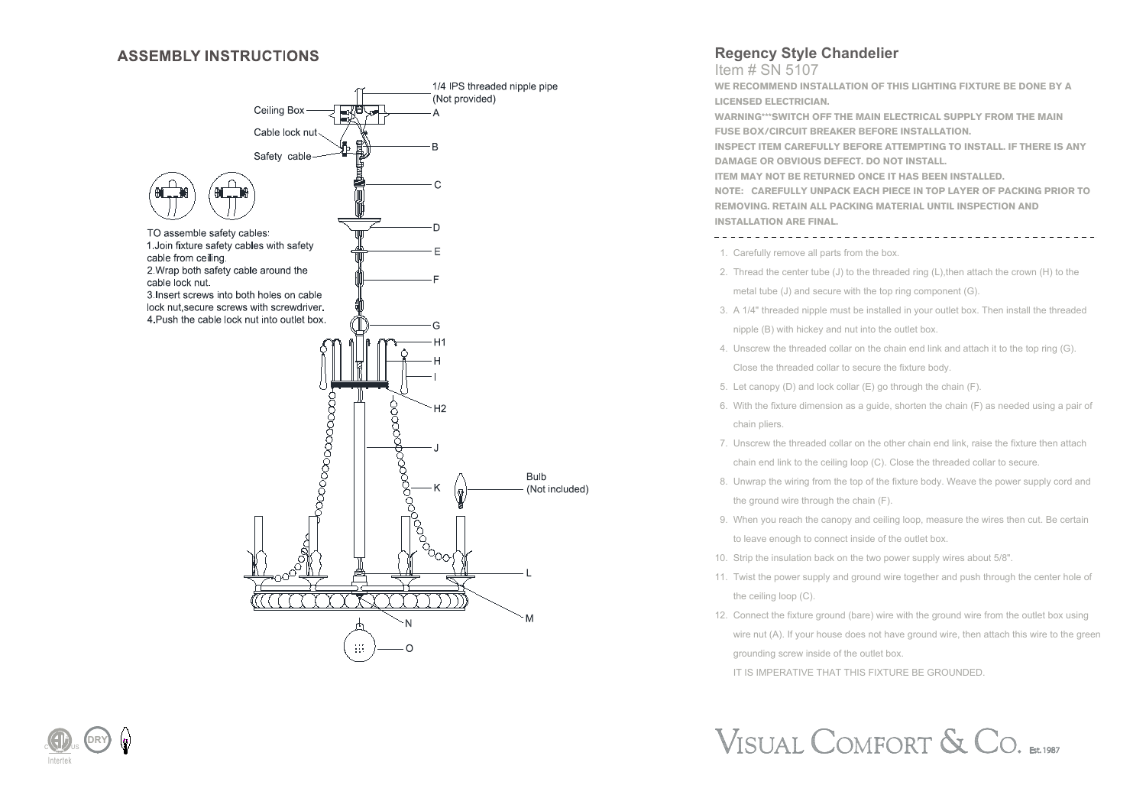#### **ASSEMBLY INSTRUCTIONS**



### **Regency Style Chandelier**

Item # SN 5107

**WE RECOMMEND INSTALLATION OF THIS LIGHTING FIXTURE BE DONE BY A LICENSED ELECTRICIAN.**

**WARNING\*\*\*SWITCH OFF THE MAIN ELECTRICAL SUPPLY FROM THE MAIN FUSE BOX/CIRCUIT BREAKER BEFORE INSTALLATION.**

**INSPECT ITEM CAREFULLY BEFORE ATTEMPTING TO INSTALL. IF THERE IS ANY DAMAGE OR OBVIOUS DEFECT. DO NOT INSTALL.**

**ITEM MAY NOT BE RETURNED ONCE IT HAS BEEN INSTALLED.**

**NOTE: CAREFULLY UNPACK EACH PIECE IN TOP LAYER OF PACKING PRIOR TO REMOVING. RETAIN ALL PACKING MATERIAL UNTIL INSPECTION AND INSTALLATION ARE FINAL.** 

1. Carefully remove all parts from the box.

- 2. Thread the center tube (J) to the threaded ring  $(L)$ , then attach the crown  $(H)$  to the metal tube (J) and secure with the top ring component (G).
- 3. A 1/4" threaded nipple must be installed in your outlet box. Then install the threaded nipple (B) with hickey and nut into the outlet box.
- 4. Unscrew the threaded collar on the chain end link and attach it to the top ring (G). Close the threaded collar to secure the fixture body.
- 5. Let canopy (D) and lock collar (E) go through the chain (F).
- 6. With the fixture dimension as a guide, shorten the chain (F) as needed using a pair of chain pliers.
- 7. Unscrew the threaded collar on the other chain end link, raise the fixture then attach chain end link to the ceiling loop (C). Close the threaded collar to secure.
- 8. Unwrap the wiring from the top of the fixture body. Weave the power supply cord and the ground wire through the chain (F).
- 9. When you reach the canopy and ceiling loop, measure the wires then cut. Be certain to leave enough to connect inside of the outlet box.
- 10. Strip the insulation back on the two power supply wires about 5/8".
- 11. Twist the power supply and ground wire together and push through the center hole of the ceiling loop (C).
- 12. Connect the fixture ground (bare) wire with the ground wire from the outlet box using wire nut (A). If your house does not have ground wire, then attach this wire to the green grounding screw inside of the outlet box.

IT IS IMPERATIVE THAT THIS FIXTURE BE GROUNDED.